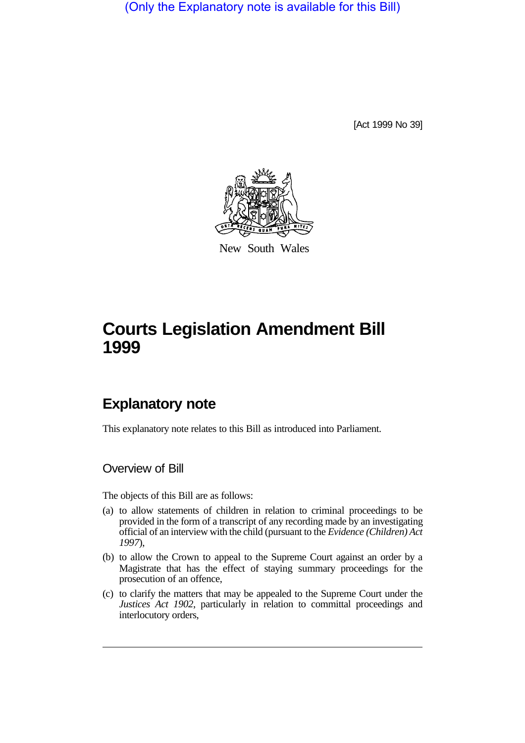(Only the Explanatory note is available for this Bill)

[Act 1999 No 39]



New South Wales

# **Courts Legislation Amendment Bill 1999**

## **Explanatory note**

This explanatory note relates to this Bill as introduced into Parliament.

Overview of Bill

The objects of this Bill are as follows:

- (a) to allow statements of children in relation to criminal proceedings to be provided in the form of a transcript of any recording made by an investigating official of an interview with the child (pursuant to the *Evidence (Children) Act 1997*),
- (b) to allow the Crown to appeal to the Supreme Court against an order by a Magistrate that has the effect of staying summary proceedings for the prosecution of an offence,
- (c) to clarify the matters that may be appealed to the Supreme Court under the *Justices Act 1902*, particularly in relation to committal proceedings and interlocutory orders,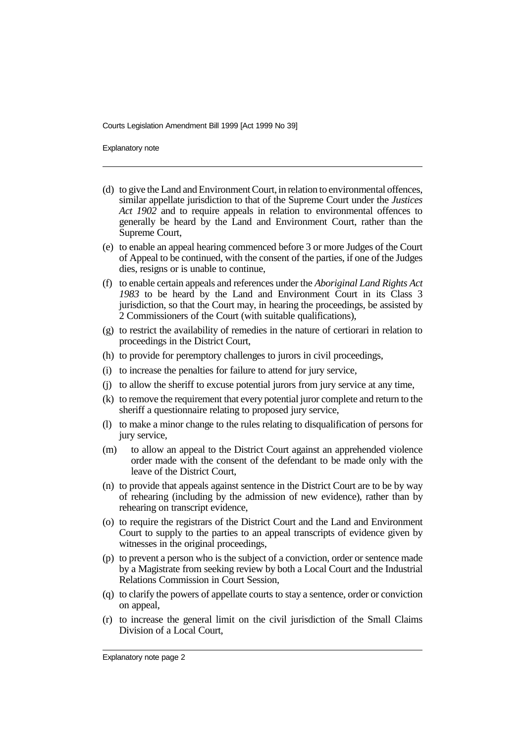Explanatory note

- (d) to give the Land and Environment Court, in relation to environmental offences, similar appellate jurisdiction to that of the Supreme Court under the *Justices Act 1902* and to require appeals in relation to environmental offences to generally be heard by the Land and Environment Court, rather than the Supreme Court,
- (e) to enable an appeal hearing commenced before 3 or more Judges of the Court of Appeal to be continued, with the consent of the parties, if one of the Judges dies, resigns or is unable to continue,
- (f) to enable certain appeals and references under the *Aboriginal Land Rights Act 1983* to be heard by the Land and Environment Court in its Class 3 jurisdiction, so that the Court may, in hearing the proceedings, be assisted by 2 Commissioners of the Court (with suitable qualifications),
- (g) to restrict the availability of remedies in the nature of certiorari in relation to proceedings in the District Court,
- (h) to provide for peremptory challenges to jurors in civil proceedings,
- (i) to increase the penalties for failure to attend for jury service,
- (j) to allow the sheriff to excuse potential jurors from jury service at any time,
- (k) to remove the requirement that every potential juror complete and return to the sheriff a questionnaire relating to proposed jury service,
- (l) to make a minor change to the rules relating to disqualification of persons for jury service,
- (m) to allow an appeal to the District Court against an apprehended violence order made with the consent of the defendant to be made only with the leave of the District Court,
- (n) to provide that appeals against sentence in the District Court are to be by way of rehearing (including by the admission of new evidence), rather than by rehearing on transcript evidence,
- (o) to require the registrars of the District Court and the Land and Environment Court to supply to the parties to an appeal transcripts of evidence given by witnesses in the original proceedings,
- (p) to prevent a person who is the subject of a conviction, order or sentence made by a Magistrate from seeking review by both a Local Court and the Industrial Relations Commission in Court Session,
- (q) to clarify the powers of appellate courts to stay a sentence, order or conviction on appeal,
- (r) to increase the general limit on the civil jurisdiction of the Small Claims Division of a Local Court,

Explanatory note page 2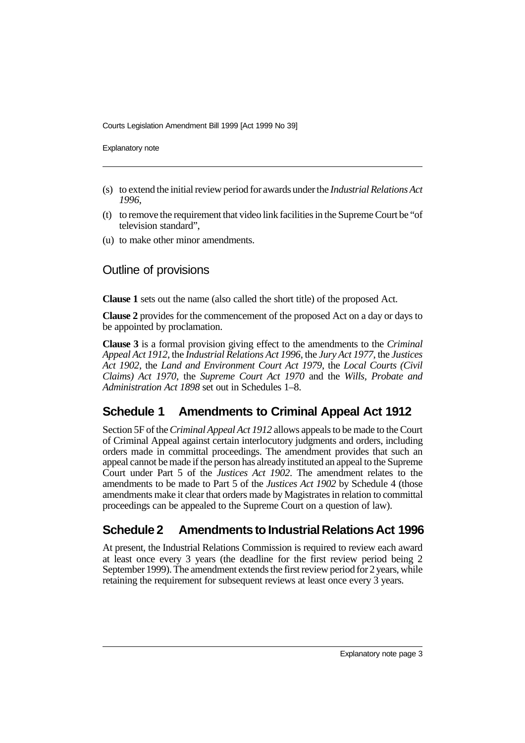Explanatory note

- (s) to extend the initial review period for awards under the *Industrial Relations Act 1996*,
- (t) to remove the requirement that video link facilities in the Supreme Court be "of television standard",
- (u) to make other minor amendments.

### Outline of provisions

**Clause 1** sets out the name (also called the short title) of the proposed Act.

**Clause 2** provides for the commencement of the proposed Act on a day or days to be appointed by proclamation.

**Clause 3** is a formal provision giving effect to the amendments to the *Criminal Appeal Act 1912*, the *Industrial Relations Act 1996*, the *Jury Act 1977*, the *Justices Act 1902*, the *Land and Environment Court Act 1979*, the *Local Courts (Civil Claims) Act 1970*, the *Supreme Court Act 1970* and the *Wills, Probate and Administration Act 1898* set out in Schedules 1–8.

### **Schedule 1 Amendments to Criminal Appeal Act 1912**

Section 5F of the *Criminal Appeal Act 1912* allows appeals to be made to the Court of Criminal Appeal against certain interlocutory judgments and orders, including orders made in committal proceedings. The amendment provides that such an appeal cannot be made if the person has already instituted an appeal to the Supreme Court under Part 5 of the *Justices Act 1902*. The amendment relates to the amendments to be made to Part 5 of the *Justices Act 1902* by Schedule 4 (those amendments make it clear that orders made by Magistrates in relation to committal proceedings can be appealed to the Supreme Court on a question of law).

### **Schedule 2 Amendments to Industrial Relations Act 1996**

At present, the Industrial Relations Commission is required to review each award at least once every 3 years (the deadline for the first review period being 2 September 1999). The amendment extends the first review period for 2 years, while retaining the requirement for subsequent reviews at least once every 3 years.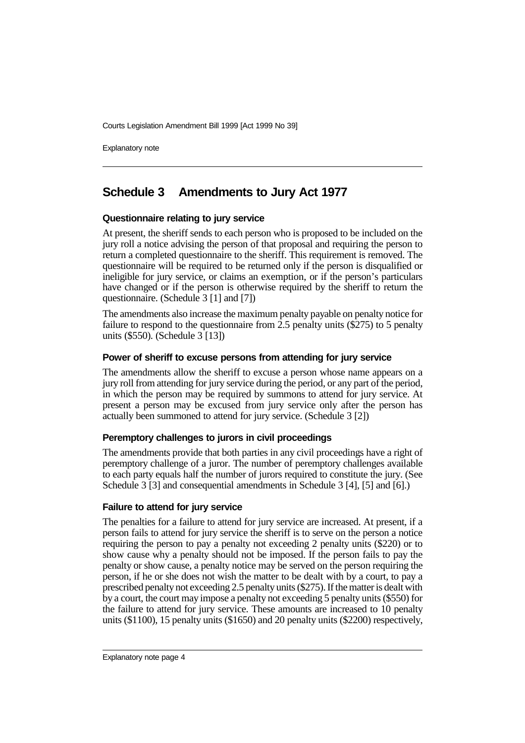Explanatory note

### **Schedule 3 Amendments to Jury Act 1977**

#### **Questionnaire relating to jury service**

At present, the sheriff sends to each person who is proposed to be included on the jury roll a notice advising the person of that proposal and requiring the person to return a completed questionnaire to the sheriff. This requirement is removed. The questionnaire will be required to be returned only if the person is disqualified or ineligible for jury service, or claims an exemption, or if the person's particulars have changed or if the person is otherwise required by the sheriff to return the questionnaire. (Schedule 3 [1] and [7])

The amendments also increase the maximum penalty payable on penalty notice for failure to respond to the questionnaire from  $2.5$  penalty units (\$275) to 5 penalty units (\$550). (Schedule 3 [13])

#### **Power of sheriff to excuse persons from attending for jury service**

The amendments allow the sheriff to excuse a person whose name appears on a jury roll from attending for jury service during the period, or any part of the period, in which the person may be required by summons to attend for jury service. At present a person may be excused from jury service only after the person has actually been summoned to attend for jury service. (Schedule 3 [2])

#### **Peremptory challenges to jurors in civil proceedings**

The amendments provide that both parties in any civil proceedings have a right of peremptory challenge of a juror. The number of peremptory challenges available to each party equals half the number of jurors required to constitute the jury. (See Schedule 3 [3] and consequential amendments in Schedule 3 [4], [5] and [6].)

#### **Failure to attend for jury service**

The penalties for a failure to attend for jury service are increased. At present, if a person fails to attend for jury service the sheriff is to serve on the person a notice requiring the person to pay a penalty not exceeding 2 penalty units (\$220) or to show cause why a penalty should not be imposed. If the person fails to pay the penalty or show cause, a penalty notice may be served on the person requiring the person, if he or she does not wish the matter to be dealt with by a court, to pay a prescribed penalty not exceeding 2.5 penalty units (\$275). If the matter is dealt with by a court, the court may impose a penalty not exceeding 5 penalty units (\$550) for the failure to attend for jury service. These amounts are increased to 10 penalty units (\$1100), 15 penalty units (\$1650) and 20 penalty units (\$2200) respectively,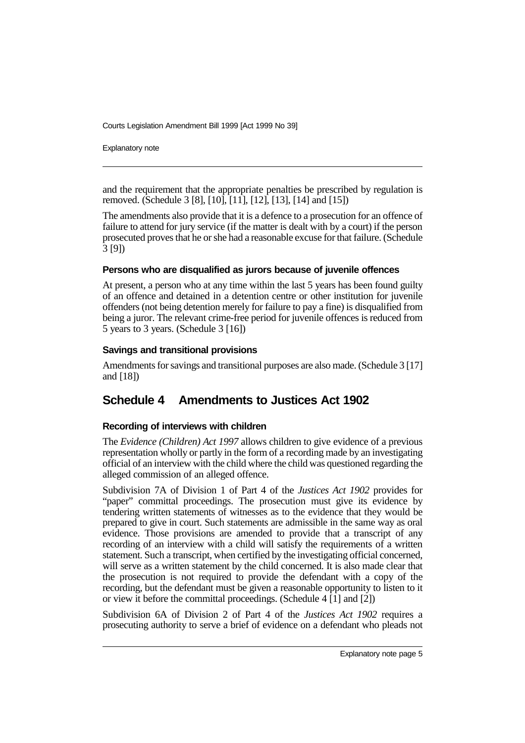Explanatory note

and the requirement that the appropriate penalties be prescribed by regulation is removed. (Schedule 3 [8], [10], [11], [12], [13], [14] and [15])

The amendments also provide that it is a defence to a prosecution for an offence of failure to attend for jury service (if the matter is dealt with by a court) if the person prosecuted proves that he or she had a reasonable excuse for that failure. (Schedule 3 [9])

#### **Persons who are disqualified as jurors because of juvenile offences**

At present, a person who at any time within the last 5 years has been found guilty of an offence and detained in a detention centre or other institution for juvenile offenders (not being detention merely for failure to pay a fine) is disqualified from being a juror. The relevant crime-free period for juvenile offences is reduced from 5 years to 3 years. (Schedule 3 [16])

#### **Savings and transitional provisions**

Amendments for savings and transitional purposes are also made. (Schedule 3 [17] and [18])

### **Schedule 4 Amendments to Justices Act 1902**

#### **Recording of interviews with children**

The *Evidence (Children) Act 1997* allows children to give evidence of a previous representation wholly or partly in the form of a recording made by an investigating official of an interview with the child where the child was questioned regarding the alleged commission of an alleged offence.

Subdivision 7A of Division 1 of Part 4 of the *Justices Act 1902* provides for "paper" committal proceedings. The prosecution must give its evidence by tendering written statements of witnesses as to the evidence that they would be prepared to give in court. Such statements are admissible in the same way as oral evidence. Those provisions are amended to provide that a transcript of any recording of an interview with a child will satisfy the requirements of a written statement. Such a transcript, when certified by the investigating official concerned, will serve as a written statement by the child concerned. It is also made clear that the prosecution is not required to provide the defendant with a copy of the recording, but the defendant must be given a reasonable opportunity to listen to it or view it before the committal proceedings. (Schedule 4 [1] and [2])

Subdivision 6A of Division 2 of Part 4 of the *Justices Act 1902* requires a prosecuting authority to serve a brief of evidence on a defendant who pleads not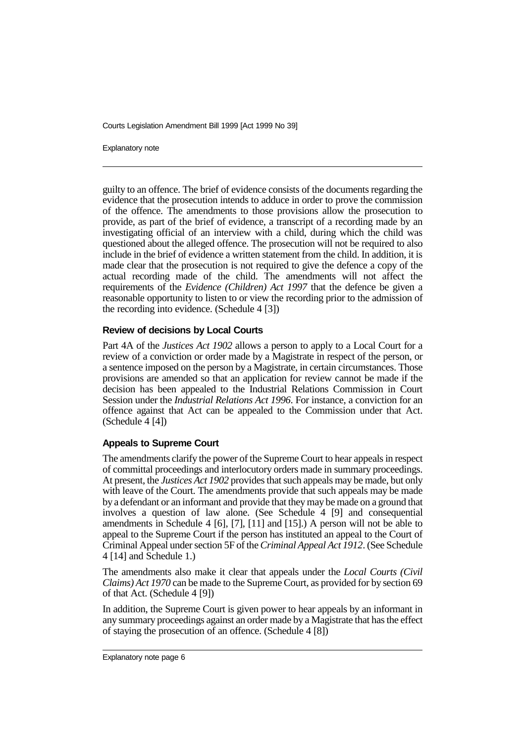Explanatory note

guilty to an offence. The brief of evidence consists of the documents regarding the evidence that the prosecution intends to adduce in order to prove the commission of the offence. The amendments to those provisions allow the prosecution to provide, as part of the brief of evidence, a transcript of a recording made by an investigating official of an interview with a child, during which the child was questioned about the alleged offence. The prosecution will not be required to also include in the brief of evidence a written statement from the child. In addition, it is made clear that the prosecution is not required to give the defence a copy of the actual recording made of the child. The amendments will not affect the requirements of the *Evidence (Children) Act 1997* that the defence be given a reasonable opportunity to listen to or view the recording prior to the admission of the recording into evidence. (Schedule 4 [3])

#### **Review of decisions by Local Courts**

Part 4A of the *Justices Act 1902* allows a person to apply to a Local Court for a review of a conviction or order made by a Magistrate in respect of the person, or a sentence imposed on the person by a Magistrate, in certain circumstances. Those provisions are amended so that an application for review cannot be made if the decision has been appealed to the Industrial Relations Commission in Court Session under the *Industrial Relations Act 1996*. For instance, a conviction for an offence against that Act can be appealed to the Commission under that Act. (Schedule 4 [4])

#### **Appeals to Supreme Court**

The amendments clarify the power of the Supreme Court to hear appeals in respect of committal proceedings and interlocutory orders made in summary proceedings. At present, the *Justices Act 1902* provides that such appeals may be made, but only with leave of the Court. The amendments provide that such appeals may be made by a defendant or an informant and provide that they may be made on a ground that involves a question of law alone. (See Schedule 4 [9] and consequential amendments in Schedule 4 [6], [7], [11] and [15].) A person will not be able to appeal to the Supreme Court if the person has instituted an appeal to the Court of Criminal Appeal under section 5F of the *Criminal Appeal Act 1912*. (See Schedule 4 [14] and Schedule 1.)

The amendments also make it clear that appeals under the *Local Courts (Civil Claims) Act 1970* can be made to the Supreme Court, as provided for by section 69 of that Act. (Schedule 4 [9])

In addition, the Supreme Court is given power to hear appeals by an informant in any summary proceedings against an order made by a Magistrate that has the effect of staying the prosecution of an offence. (Schedule 4 [8])

Explanatory note page 6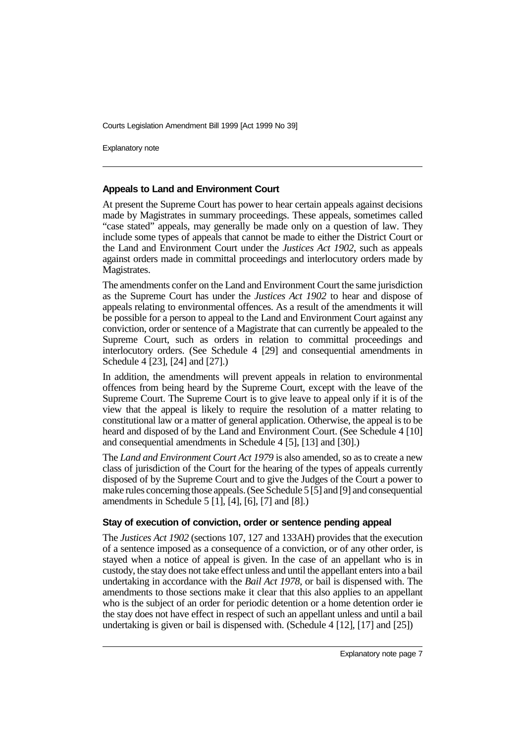Explanatory note

#### **Appeals to Land and Environment Court**

At present the Supreme Court has power to hear certain appeals against decisions made by Magistrates in summary proceedings. These appeals, sometimes called "case stated" appeals, may generally be made only on a question of law. They include some types of appeals that cannot be made to either the District Court or the Land and Environment Court under the *Justices Act 1902*, such as appeals against orders made in committal proceedings and interlocutory orders made by Magistrates.

The amendments confer on the Land and Environment Court the same jurisdiction as the Supreme Court has under the *Justices Act 1902* to hear and dispose of appeals relating to environmental offences. As a result of the amendments it will be possible for a person to appeal to the Land and Environment Court against any conviction, order or sentence of a Magistrate that can currently be appealed to the Supreme Court, such as orders in relation to committal proceedings and interlocutory orders. (See Schedule 4 [29] and consequential amendments in Schedule 4 [23], [24] and [27].)

In addition, the amendments will prevent appeals in relation to environmental offences from being heard by the Supreme Court, except with the leave of the Supreme Court. The Supreme Court is to give leave to appeal only if it is of the view that the appeal is likely to require the resolution of a matter relating to constitutional law or a matter of general application. Otherwise, the appeal is to be heard and disposed of by the Land and Environment Court. (See Schedule 4 [10] and consequential amendments in Schedule 4 [5], [13] and [30].)

The *Land and Environment Court Act 1979* is also amended, so as to create a new class of jurisdiction of the Court for the hearing of the types of appeals currently disposed of by the Supreme Court and to give the Judges of the Court a power to make rules concerning those appeals. (See Schedule 5 [5] and [9] and consequential amendments in Schedule 5 [1], [4], [6], [7] and [8].)

#### **Stay of execution of conviction, order or sentence pending appeal**

The *Justices Act 1902* (sections 107, 127 and 133AH) provides that the execution of a sentence imposed as a consequence of a conviction, or of any other order, is stayed when a notice of appeal is given. In the case of an appellant who is in custody, the stay does not take effect unless and until the appellant enters into a bail undertaking in accordance with the *Bail Act 1978*, or bail is dispensed with. The amendments to those sections make it clear that this also applies to an appellant who is the subject of an order for periodic detention or a home detention order ie the stay does not have effect in respect of such an appellant unless and until a bail undertaking is given or bail is dispensed with. (Schedule 4 [12], [17] and [25])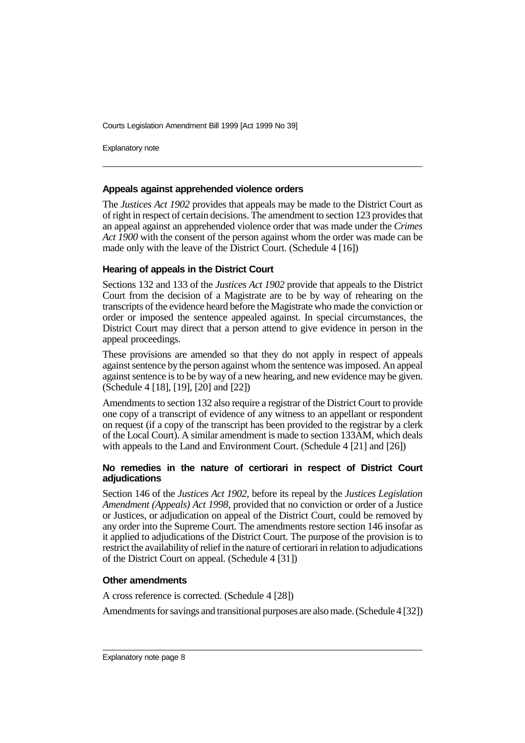Explanatory note

#### **Appeals against apprehended violence orders**

The *Justices Act 1902* provides that appeals may be made to the District Court as of right in respect of certain decisions. The amendment to section 123 provides that an appeal against an apprehended violence order that was made under the *Crimes Act 1900* with the consent of the person against whom the order was made can be made only with the leave of the District Court. (Schedule 4 [16])

#### **Hearing of appeals in the District Court**

Sections 132 and 133 of the *Justices Act 1902* provide that appeals to the District Court from the decision of a Magistrate are to be by way of rehearing on the transcripts of the evidence heard before the Magistrate who made the conviction or order or imposed the sentence appealed against. In special circumstances, the District Court may direct that a person attend to give evidence in person in the appeal proceedings.

These provisions are amended so that they do not apply in respect of appeals against sentence by the person against whom the sentence was imposed. An appeal against sentence is to be by way of a new hearing, and new evidence may be given. (Schedule 4 [18], [19], [20] and [22])

Amendments to section 132 also require a registrar of the District Court to provide one copy of a transcript of evidence of any witness to an appellant or respondent on request (if a copy of the transcript has been provided to the registrar by a clerk of the Local Court). A similar amendment is made to section 133AM, which deals with appeals to the Land and Environment Court. (Schedule 4 [21] and [26])

#### **No remedies in the nature of certiorari in respect of District Court adjudications**

Section 146 of the *Justices Act 1902*, before its repeal by the *Justices Legislation Amendment (Appeals) Act 1998*, provided that no conviction or order of a Justice or Justices, or adjudication on appeal of the District Court, could be removed by any order into the Supreme Court. The amendments restore section 146 insofar as it applied to adjudications of the District Court. The purpose of the provision is to restrict the availability of relief in the nature of certiorari in relation to adjudications of the District Court on appeal. (Schedule 4 [31])

#### **Other amendments**

A cross reference is corrected. (Schedule 4 [28])

Amendments for savings and transitional purposes are also made. (Schedule 4 [32])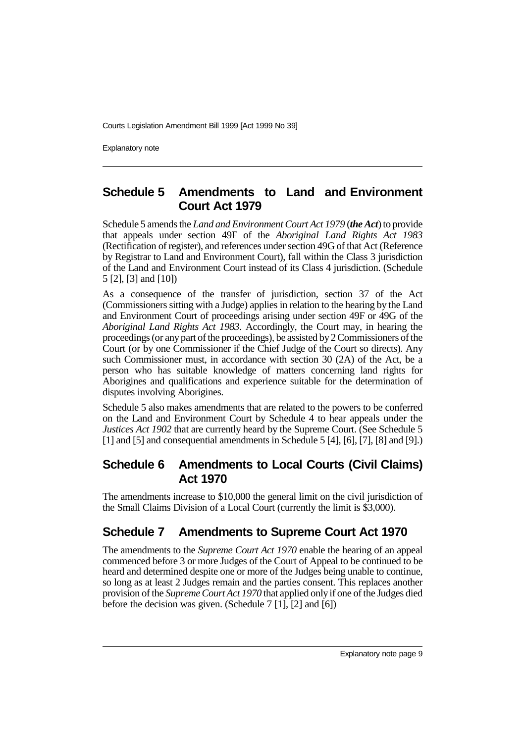Explanatory note

### **Schedule 5 Amendments to Land and Environment Court Act 1979**

Schedule 5 amends the *Land and Environment Court Act 1979* (*the Act*) to provide that appeals under section 49F of the *Aboriginal Land Rights Act 1983* (Rectification of register), and references under section 49G of that Act (Reference by Registrar to Land and Environment Court), fall within the Class 3 jurisdiction of the Land and Environment Court instead of its Class 4 jurisdiction. (Schedule 5 [2], [3] and [10])

As a consequence of the transfer of jurisdiction, section 37 of the Act (Commissioners sitting with a Judge) applies in relation to the hearing by the Land and Environment Court of proceedings arising under section 49F or 49G of the *Aboriginal Land Rights Act 1983*. Accordingly, the Court may, in hearing the proceedings (or any part of the proceedings), be assisted by 2 Commissioners of the Court (or by one Commissioner if the Chief Judge of the Court so directs). Any such Commissioner must, in accordance with section 30 (2A) of the Act, be a person who has suitable knowledge of matters concerning land rights for Aborigines and qualifications and experience suitable for the determination of disputes involving Aborigines.

Schedule 5 also makes amendments that are related to the powers to be conferred on the Land and Environment Court by Schedule 4 to hear appeals under the *Justices Act 1902* that are currently heard by the Supreme Court. (See Schedule 5 [1] and [5] and consequential amendments in Schedule 5 [4], [6], [7], [8] and [9].)

### **Schedule 6 Amendments to Local Courts (Civil Claims) Act 1970**

The amendments increase to \$10,000 the general limit on the civil jurisdiction of the Small Claims Division of a Local Court (currently the limit is \$3,000).

### **Schedule 7 Amendments to Supreme Court Act 1970**

The amendments to the *Supreme Court Act 1970* enable the hearing of an appeal commenced before 3 or more Judges of the Court of Appeal to be continued to be heard and determined despite one or more of the Judges being unable to continue, so long as at least 2 Judges remain and the parties consent. This replaces another provision of the *Supreme Court Act 1970* that applied only if one of the Judges died before the decision was given. (Schedule 7 [1], [2] and [6])